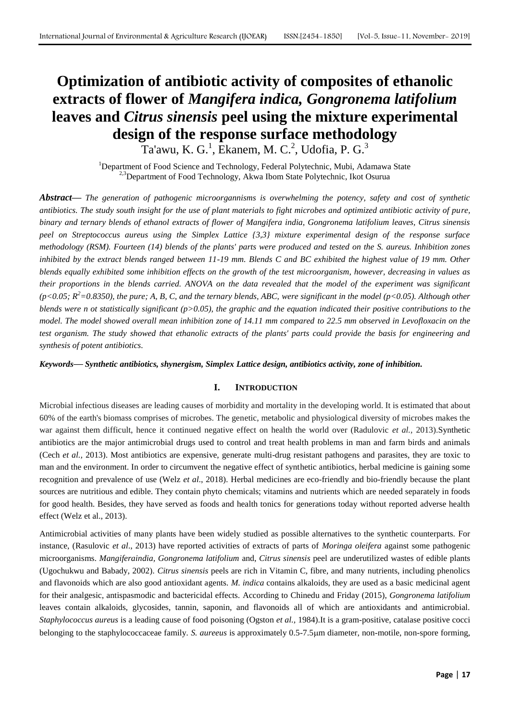# **Optimization of antibiotic activity of composites of ethanolic extracts of flower of** *Mangifera indica, Gongronema latifolium*  **leaves and** *Citrus sinensis* **peel using the mixture experimental design of the response surface methodology**

Ta'awu, K. G.<sup>1</sup>, Ekanem, M. C.<sup>2</sup>, Udofia, P. G.<sup>3</sup>

<sup>1</sup>Department of Food Science and Technology, Federal Polytechnic, Mubi, Adamawa State <sup>2,3</sup>Department of Food Technology, Akwa Ibom State Polytechnic, Ikot Osurua

*Abstract***—** *The generation of pathogenic microorgannisms is overwhelming the potency, safety and cost of synthetic antibiotics. The study south insight for the use of plant materials to fight microbes and optimized antibiotic activity of pure, binary and ternary blends of ethanol extracts of flower of Mangifera india, Gongronema latifolium leaves, Citrus sinensis peel on Streptococcus aureus using the Simplex Lattice {3,3} mixture experimental design of the response surface methodology (RSM). Fourteen (14) blends of the plants' parts were produced and tested on the S. aureus. Inhibition zones inhibited by the extract blends ranged between 11-19 mm. Blends C and BC exhibited the highest value of 19 mm. Other blends equally exhibited some inhibition effects on the growth of the test microorganism, however, decreasing in values as their proportions in the blends carried. ANOVA on the data revealed that the model of the experiment was significant*   $(p<0.05; R<sup>2</sup>=0.8350)$ , the pure; A, B, C, and the ternary blends, ABC, were significant in the model ( $p<0.05$ ). Although other *blends were n ot statistically significant (p>0.05), the graphic and the equation indicated their positive contributions to the model. The model showed overall mean inhibition zone of 14.11 mm compared to 22.5 mm observed in Levofloxacin on the test organism. The study showed that ethanolic extracts of the plants' parts could provide the basis for engineering and synthesis of potent antibiotics.*

*Keywords***—** *Synthetic antibiotics, shynergism, Simplex Lattice design, antibiotics activity, zone of inhibition.*

# **I. INTRODUCTION**

Microbial infectious diseases are leading causes of morbidity and mortality in the developing world. It is estimated that about 60% of the earth's biomass comprises of microbes. The genetic, metabolic and physiological diversity of microbes makes the war against them difficult, hence it continued negative effect on health the world over (Radulovic *et al.,* 2013).Synthetic antibiotics are the major antimicrobial drugs used to control and treat health problems in man and farm birds and animals (Cech *et al.,* 2013). Most antibiotics are expensive, generate multi-drug resistant pathogens and parasites, they are toxic to man and the environment. In order to circumvent the negative effect of synthetic antibiotics, herbal medicine is gaining some recognition and prevalence of use (Welz *et al*., 2018). Herbal medicines are eco-friendly and bio-friendly because the plant sources are nutritious and edible. They contain phyto chemicals; vitamins and nutrients which are needed separately in foods for good health. Besides, they have served as foods and health tonics for generations today without reported adverse health effect (Welz et al., 2013).

Antimicrobial activities of many plants have been widely studied as possible alternatives to the synthetic counterparts. For instance, (Rasulovic *et al*., 2013) have reported activities of extracts of parts of *Moringa oleifera* against some pathogenic microorganisms. *Mangiferaindia, Gongronema latifolium* and, *Citrus sinensis* peel are underutilized wastes of edible plants (Ugochukwu and Babady, 2002). *Citrus sinensis* peels are rich in Vitamin C, fibre, and many nutrients, including phenolics and flavonoids which are also good antioxidant agents*. M. indica* contains alkaloids, they are used as a basic medicinal agent for their analgesic, antispasmodic and bactericidal effects. According to Chinedu and Friday (2015), *Gongronema latifolium* leaves contain alkaloids, glycosides, tannin, saponin, and flavonoids all of which are antioxidants and antimicrobial. *Staphylococcus aureus* is a leading cause of food poisoning (Ogston *et al.,* 1984).It is a gram-positive, catalase positive cocci belonging to the staphylococcaceae family. *S. aureeus* is approximately 0.5-7.5m diameter, non-motile, non-spore forming,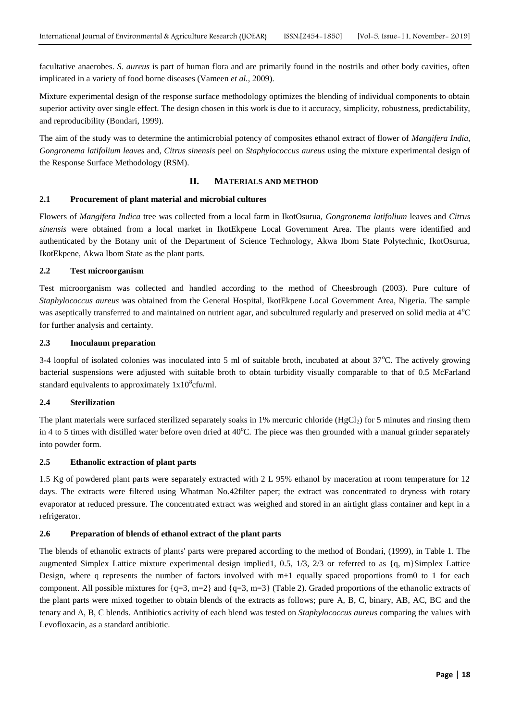facultative anaerobes. *S. aureus* is part of human flora and are primarily found in the nostrils and other body cavities, often implicated in a variety of food borne diseases (Vameen *et al.,* 2009).

Mixture experimental design of the response surface methodology optimizes the blending of individual components to obtain superior activity over single effect. The design chosen in this work is due to it accuracy, simplicity, robustness, predictability, and reproducibility (Bondari, 1999).

The aim of the study was to determine the antimicrobial potency of composites ethanol extract of flower of *Mangifera India, Gongronema latifolium leaves* and, *Citrus sinensis* peel on *Staphylococcus aureus* using the mixture experimental design of the Response Surface Methodology (RSM).

## **II. MATERIALS AND METHOD**

#### **2.1 Procurement of plant material and microbial cultures**

Flowers of *Mangifera Indica* tree was collected from a local farm in IkotOsurua, *Gongronema latifolium* leaves and *Citrus sinensis* were obtained from a local market in IkotEkpene Local Government Area. The plants were identified and authenticated by the Botany unit of the Department of Science Technology, Akwa Ibom State Polytechnic, IkotOsurua, IkotEkpene, Akwa Ibom State as the plant parts.

#### **2.2 Test microorganism**

Test microorganism was collected and handled according to the method of Cheesbrough (2003). Pure culture of *Staphylococcus aureus* was obtained from the General Hospital, IkotEkpene Local Government Area, Nigeria. The sample was aseptically transferred to and maintained on nutrient agar, and subcultured regularly and preserved on solid media at 4°C for further analysis and certainty.

## **2.3 Inoculaum preparation**

3-4 loopful of isolated colonies was inoculated into 5 ml of suitable broth, incubated at about 37°C. The actively growing bacterial suspensions were adjusted with suitable broth to obtain turbidity visually comparable to that of 0.5 McFarland standard equivalents to approximately  $1x10^8$ cfu/ml.

## **2.4 Sterilization**

The plant materials were surfaced sterilized separately soaks in 1% mercuric chloride (HgCl<sub>2</sub>) for 5 minutes and rinsing them in 4 to 5 times with distilled water before oven dried at  $40^{\circ}$ C. The piece was then grounded with a manual grinder separately into powder form.

#### **2.5 Ethanolic extraction of plant parts**

1.5 Kg of powdered plant parts were separately extracted with 2 L 95% ethanol by maceration at room temperature for 12 days. The extracts were filtered using Whatman No.42filter paper; the extract was concentrated to dryness with rotary evaporator at reduced pressure. The concentrated extract was weighed and stored in an airtight glass container and kept in a refrigerator.

## **2.6 Preparation of blends of ethanol extract of the plant parts**

The blends of ethanolic extracts of plants' parts were prepared according to the method of Bondari, (1999), in Table 1. The augmented Simplex Lattice mixture experimental design implied1, 0.5, 1/3, 2/3 or referred to as {q, m}Simplex Lattice Design, where q represents the number of factors involved with  $m+1$  equally spaced proportions from0 to 1 for each component. All possible mixtures for  $\{q=3, m=2\}$  and  $\{q=3, m=3\}$  (Table 2). Graded proportions of the ethanolic extracts of the plant parts were mixed together to obtain blends of the extracts as follows; pure A, B, C, binary, AB, AC, BC, and the tenary and A, B, C blends. Antibiotics activity of each blend was tested on *Staphylococcus aureus* comparing the values with Levofloxacin, as a standard antibiotic.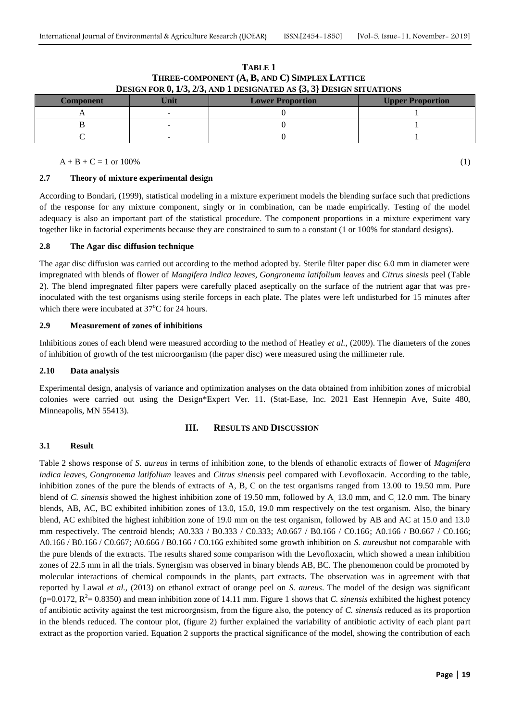| <b>Component</b> | Jnit | <b>Lower Proportion</b> | <b>Upper Proportion</b> |  |
|------------------|------|-------------------------|-------------------------|--|
|                  |      |                         |                         |  |
|                  |      |                         |                         |  |
|                  |      |                         |                         |  |

## **TABLE 1 THREE-COMPONENT (A, B, AND C) SIMPLEX LATTICE DESIGN FOR 0, 1/3, 2/3, AND 1 DESIGNATED AS {3, 3} DESIGN SITUATIONS**

 $A + B + C = 1$  or 100% (1)

# **2.7 Theory of mixture experimental design**

According to Bondari, (1999), statistical modeling in a mixture experiment models the blending surface such that predictions of the response for any mixture component, singly or in combination, can be made empirically. Testing of the model adequacy is also an important part of the statistical procedure. The component proportions in a mixture experiment vary together like in factorial experiments because they are constrained to sum to a constant (1 or 100% for standard designs).

## **2.8 The Agar disc diffusion technique**

The agar disc diffusion was carried out according to the method adopted by. Sterile filter paper disc 6.0 mm in diameter were impregnated with blends of flower of *Mangifera indica leaves, Gongronema latifolium leaves* and *Citrus sinesis* peel (Table 2). The blend impregnated filter papers were carefully placed aseptically on the surface of the nutrient agar that was preinoculated with the test organisms using sterile forceps in each plate. The plates were left undisturbed for 15 minutes after which there were incubated at  $37^{\circ}$ C for 24 hours.

## **2.9 Measurement of zones of inhibitions**

Inhibitions zones of each blend were measured according to the method of Heatley *et al.,* (2009). The diameters of the zones of inhibition of growth of the test microorganism (the paper disc) were measured using the millimeter rule.

## **2.10 Data analysis**

Experimental design, analysis of variance and optimization analyses on the data obtained from inhibition zones of microbial colonies were carried out using the Design\*Expert Ver. 11. (Stat-Ease, Inc. 2021 East Hennepin Ave, Suite 480, Minneapolis, MN 55413).

# **III. RESULTS AND DISCUSSION**

## **3.1 Result**

Table 2 shows response of *S. aureus* in terms of inhibition zone*,* to the blends of ethanolic extracts of flower of *Magnifera indica leaves, Gongronema latifolium* leaves and *Citrus sinensis* peel compared with Levofloxacin. According to the table, inhibition zones of the pure the blends of extracts of A, B, C on the test organisms ranged from 13.00 to 19.50 mm. Pure blend of *C. sinensis* showed the highest inhibition zone of 19.50 mm, followed by A, 13.0 mm, and C, 12.0 mm. The binary blends, AB, AC, BC exhibited inhibition zones of 13.0, 15.0, 19.0 mm respectively on the test organism. Also, the binary blend, AC exhibited the highest inhibition zone of 19.0 mm on the test organism, followed by AB and AC at 15.0 and 13.0 mm respectively. The centroid blends; A0.333 / B0.333 / C0.333; A0.667 / B0.166 / C0.166; A0.166 / B0.667 / C0.166; A0.166 / B0.166 / C0.667; A0.666 / B0.166 / C0.166 exhibited some growth inhibition on *S. aureus*but not comparable with the pure blends of the extracts. The results shared some comparison with the Levofloxacin, which showed a mean inhibition zones of 22.5 mm in all the trials. Synergism was observed in binary blends AB, BC. The phenomenon could be promoted by molecular interactions of chemical compounds in the plants, part extracts. The observation was in agreement with that reported by Lawal *et al.,* (2013) on ethanol extract of orange peel on *S. aureus*. The model of the design was significant  $(p=0.0172, R^2=0.8350)$  and mean inhibition zone of 14.11 mm. Figure 1 shows that *C. sinensis* exhibited the highest potency of antibiotic activity against the test microorgnsism, from the figure also, the potency of *C. sinensis* reduced as its proportion in the blends reduced. The contour plot, (figure 2) further explained the variability of antibiotic activity of each plant part extract as the proportion varied. Equation 2 supports the practical significance of the model, showing the contribution of each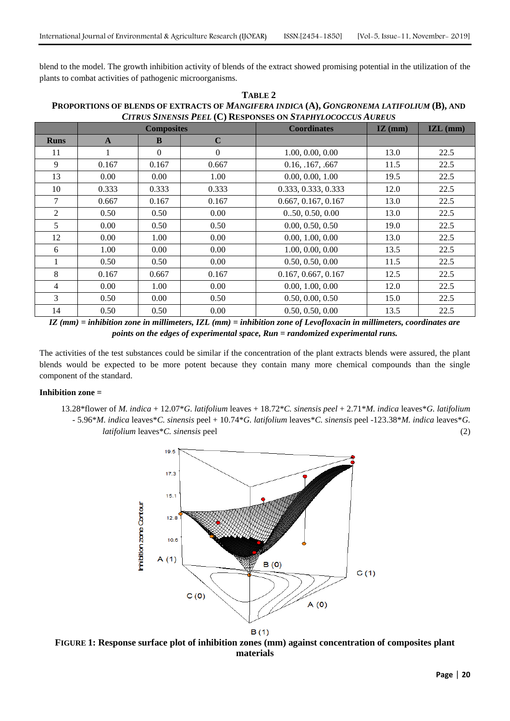blend to the model. The growth inhibition activity of blends of the extract showed promising potential in the utilization of the plants to combat activities of pathogenic microorganisms.

| TABLE 2                                                                                   |
|-------------------------------------------------------------------------------------------|
| PROPORTIONS OF BLENDS OF EXTRACTS OF MANGIFERA INDICA (A), GONGRONEMA LATIFOLIUM (B), AND |
| <b>CITRUS SINENSIS PEEL (C) RESPONSES ON STAPHYLOCOCCUS AUREUS</b>                        |

|                | <b>Composites</b> |          |             | <b>Coordinates</b>  | $\mathbf{IZ}$ (mm) | $\mathbf{IZL}$ (mm) |
|----------------|-------------------|----------|-------------|---------------------|--------------------|---------------------|
| <b>Runs</b>    | $\mathbf{A}$      | B        | $\mathbf C$ |                     |                    |                     |
| 11             | 1                 | $\Omega$ | $\Omega$    | 1.00, 0.00, 0.00    | 13.0               | 22.5                |
| 9              | 0.167             | 0.167    | 0.667       | 0.16, .167, .667    | 11.5               | 22.5                |
| 13             | 0.00              | 0.00     | 1.00        | 0.00, 0.00, 1.00    | 19.5               | 22.5                |
| 10             | 0.333             | 0.333    | 0.333       | 0.333, 0.333, 0.333 | 12.0               | 22.5                |
| 7              | 0.667             | 0.167    | 0.167       | 0.667, 0.167, 0.167 | 13.0               | 22.5                |
| $\overline{2}$ | 0.50              | 0.50     | 0.00        | 0.50, 0.50, 0.00    | 13.0               | 22.5                |
| 5              | 0.00              | 0.50     | 0.50        | 0.00, 0.50, 0.50    | 19.0               | 22.5                |
| 12             | 0.00              | 1.00     | 0.00        | 0.00, 1.00, 0.00    | 13.0               | 22.5                |
| 6              | 1.00              | 0.00     | 0.00        | 1.00, 0.00, 0.00    | 13.5               | 22.5                |
|                | 0.50              | 0.50     | 0.00        | 0.50, 0.50, 0.00    | 11.5               | 22.5                |
| 8              | 0.167             | 0.667    | 0.167       | 0.167, 0.667, 0.167 | 12.5               | 22.5                |
| 4              | 0.00              | 1.00     | 0.00        | 0.00, 1.00, 0.00    | 12.0               | 22.5                |
| 3              | 0.50              | 0.00     | 0.50        | 0.50, 0.00, 0.50    | 15.0               | 22.5                |
| 14             | 0.50              | 0.50     | 0.00        | 0.50, 0.50, 0.00    | 13.5               | 22.5                |

*IZ (mm) = inhibition zone in millimeters, IZL (mm) = inhibition zone of Levofloxacin in millimeters, coordinates are points on the edges of experimental space, Run = randomized experimental runs.*

The activities of the test substances could be similar if the concentration of the plant extracts blends were assured, the plant blends would be expected to be more potent because they contain many more chemical compounds than the single component of the standard.

#### **Inhibition zone =**

13.28\*flower of *M. indica* + 12.07\**G. latifolium* leaves + 18.72\**C. sinensis peel* + 2.71\**M. indica* leaves\**G. latifolium -* 5.96\**M. indica* leaves\**C. sinensis* peel + 10.74\**G. latifolium* leaves\**C. sinensis* peel -123.38\**M. indica* leaves\**G. latifolium* leaves\**C. sinensis* peel (2)



**FIGURE 1: Response surface plot of inhibition zones (mm) against concentration of composites plant materials**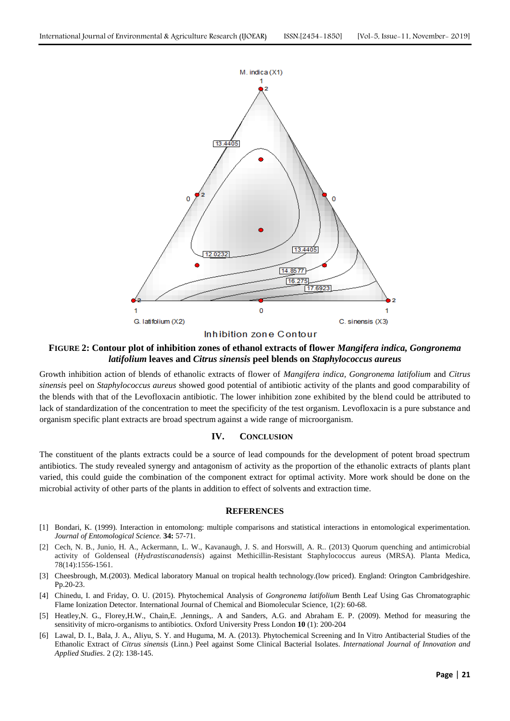

Inhibition zone Contour

## **FIGURE 2: Contour plot of inhibition zones of ethanol extracts of flower** *Mangifera indica, Gongronema latifolium* **leaves and** *Citrus sinensis* **peel blends on** *Staphylococcus aureus*

Growth inhibition action of blends of ethanolic extracts of flower of *Mangifera indica, Gongronema latifolium* and *Citrus sinensi*s peel on *Staphylococcus aureus* showed good potential of antibiotic activity of the plants and good comparability of the blends with that of the Levofloxacin antibiotic. The lower inhibition zone exhibited by the blend could be attributed to lack of standardization of the concentration to meet the specificity of the test organism. Levofloxacin is a pure substance and organism specific plant extracts are broad spectrum against a wide range of microorganism.

## **IV. CONCLUSION**

The constituent of the plants extracts could be a source of lead compounds for the development of potent broad spectrum antibiotics. The study revealed synergy and antagonism of activity as the proportion of the ethanolic extracts of plants plant varied, this could guide the combination of the component extract for optimal activity. More work should be done on the microbial activity of other parts of the plants in addition to effect of solvents and extraction time.

## **REFERENCES**

- [1] Bondari, K. (1999). Interaction in entomolong: multiple comparisons and statistical interactions in entomological experimentation. *Journal of Entomological Science.* **34:** 57-71.
- [2] Cech, N. B., Junio, H. A., Ackermann, L. W., Kavanaugh, J. S. and Horswill, A. R.. (2013) Quorum quenching and antimicrobial activity of Goldenseal (*Hydrastiscanadensis*) against Methicillin-Resistant Staphylococcus aureus (MRSA). Planta Medica, 78(14):1556-1561.
- [3] Cheesbrough, M.(2003). Medical laboratory Manual on tropical health technology.(low priced). England: Orington Cambridgeshire. Pp.20-23.
- [4] Chinedu, I. and Friday, O. U. (2015). Phytochemical Analysis of *Gongronema latifolium* Benth Leaf Using Gas Chromatographic Flame Ionization Detector. International Journal of Chemical and Biomolecular Science, 1(2): 60-68.
- [5] Heatley,N. G., Florey,H.W., Chain,E. ,Jennings,. A and Sanders, A.G. and Abraham E. P. (2009). Method for measuring the sensitivity of micro-organisms to antibiotics. Oxford University Press London **10** (1): 200-204
- [6] Lawal, D. I., Bala, J. A., Aliyu, S. Y. and Huguma, M. A. (2013). Phytochemical Screening and In Vitro Antibacterial Studies of the Ethanolic Extract of *Citrus sinensis* (Linn.) Peel against Some Clinical Bacterial Isolates. *International Journal of Innovation and Applied Studies*. 2 (2): 138-145.